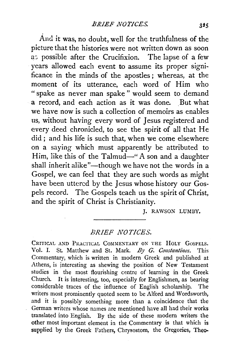And it was, no doubt, well for the truthfulness of the picture that the histories were not written down as soon as possible after the Crucifixion. The lapse of a few years allowed each event to assume its proper significance in the minds of the apostles ; whereas, at the moment of its utterance, each word of Him who " spake as never man spake " would seem to demand a record, and each action as it was done. But what we have now is such a coilection of memoirs as enables us, without having every word of Jesus registered and every deed chronicled, to see the spirit of all that He did; and his life is such that, when we come elsewhere on a saying which must apparently be attributed to Him, like this of the Talmud-" A son and a daughter shall inherit alike"-though we have not the words in a Gospel, we can feel that they are such words as might have been uttered by the Jesus whose history our Gospels record. The Gospels teach us the spirit of Christ, and the spirit of Christ is Christianity.

J. RAWSON LUMBY.

## *BRIEF NOTICES.*

CRITICAL AND PRACTICAL COMMENTARY ON THE HOLY GOSPELS. Vol. I. St. Matthew and St. Mark. *By G. Constantinos*. This Commentary, which is written in modern Greek and published at Athens, is interesting as shewing the position of New Testament studies in the most flourishing centre of learning in the Greek Church. It is interesting, too, especially for Englishmen, as bearing considerable traces of the influence of English scholarship. The writers most prominently quoted seem to be Alford and Wordsworth, and it is possibly something more than a coincidence that the German writers whose names are mentioned have all had their works translated into English. By the side of these modern writers the other most important element in the Commentary is that which is supplied by the Greek Fathers, Chrysostom, the Gregories, Theo-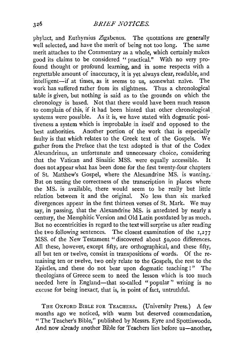phylact, and Euthymius Zigabenus. The quotations are generally well selected, and have the merit of being not too long. The same merit attaches to the Commentary as a whole, which certainly makes good its claims to be considered "practical." With no very profound thought or profound learning, and in some respects with a regrettable amount of inaccuracy, it is yet always clear, readable, and intelligent-if at times, as it seems to us, somewhat naïve. The work has suffered rather from its slightness. Thus a chronological table is given, but nothing is said as to the grounds on which the chronology is based. Not that there would have been much reason to complain of this, if it had been hinted that other chronological systems were possible. As it is, we have stated with dogmatic positiveness a system which is improbable in itseif and opposed to the best authorities. Another portion of the work that is especially faulty is that which relates to the Greek text of the Gospels. We gather from the Preface that the text adopted is that of the Codex Alexandrinus, an unfortunate and unnecessary choice, considering that the Vatican and Sinaitic MSS. were equally accessible. It does not appear what has been done for the first twenty-four chapters of St. Matthew's Gospel, where the Alexandrine MS. is wanting. But on testing the correctness of the transcription in places where the MS. is available, there would seem to be really but little relation between it and the original. No less than six marked divergences appear in the first thirteen verses of St. Mark. We may say, in passing, that the Alexandrine MS. is antedated by nearly a century, the Memphitic Version and Old Latin postdated by as much. But no eccentricities in regard to the text will surprise us after reading the two following sentences. The closest examination of the  $1,277$ MSS. of the New Testament "discovered about 50,000 differences. All these, however, except fifty, are orthographical, and these fifty, all but ten or twelve, consist in transpositions of words. Of the remaining ten or twelve, two only relate to the Gospels, the rest to the Epistles, and these do not bear upon dogmatic teaching !" The theologians of Greece seem to need the lesson which is too much needed here in England-that so-called "popular" writing is no excuse for being inexact, that is, in point of fact, untruthful.

THE OXFORD BIBLE FOR TEACHERS. (University Press.) A few months ago we noticed, with warm but deserved commendation, " The Teacher's Bible," published by Messrs. Eyre and Spottiswoode. And now already another Bible for Teachers lies before us-another.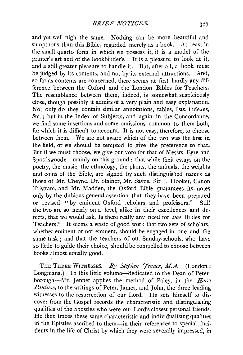and yet well nigh the same. Nothing can be more beautiful and sumptuous than this Bible, regarded merely as a book. At least in the small quarto form in which we possess it, it is a model of the printer's art and of the bookbinder's. It is a pleasure to look at it, and a still greater pleasure to handle it. But, after all, a book must be judged by its contents, and not by its external attractions. And, so far as contents are concerned, there seems at first hardly any difference between the Oxford and the London Bibles for Teachers. The resemblance between them, indeed, is somewhat suspiciously close, though possibly it admits of a very plain and easy explanation. Not only do they contain similar annotations, tables, lists, indexes, &c.; but in the Index of Subjects, and again in the Concordance, we find some insertions and some omissions common to them both, for which it is difficult to account. It is not easy, therefore, to choose between them. We are not aware which of the two was the first in the field, or we should be tempted to give the preference to that. But if we must choose, we give our vote for that of Messrs. Eyre and Spottiswoode-mainly on this ground: that while their essays on the poetry, the music, the ethnology, the plants, the animals, the weights and coins of the Bible, are signed by such distinguished names as those of Mr. Cheyne, Dr. Stainer, Mr. Sayee, Sir J. Hooker, Canon Tristram, and Mr. Madden, the Oxford Bible guarantees its notes only by the dubious general assertion that they have been prepared or revised "by eminent Oxford scholars and professors." Still the two are so nearly on a level, alike in their excellences and defects, that we would ask, Is there really any need for *two* Bibles for Teachers? It seems a waste of good work that two sets of scholars, whether eminent or not eminent, should be engaged in one and the same task ; and that the teachers of our Sunday-schools, who have so little to guide their choice, should be compelled to choose between books almost equally good.

THE THREE WITNESSES. *By Stephen Jenner*, M.A. (London: Longmans.) In this little volume-dedicated to the Dean of Peterborough-Mr. Jenner applies the method of Paley, in the *Horre Pauling*, to the writings of Peter, James, and John, the three leading witnesses to the resurrection of our Lord. He sets himself to discover from the Gospel records the characteristic and distinguishing qualities of the apostles who were our Lord's closest personal friends. He then traces these same characteristic and individualizing qualities in the Epistles ascribed to them-in their references to special incidents in the life of Christ by which they were severally impressed, in